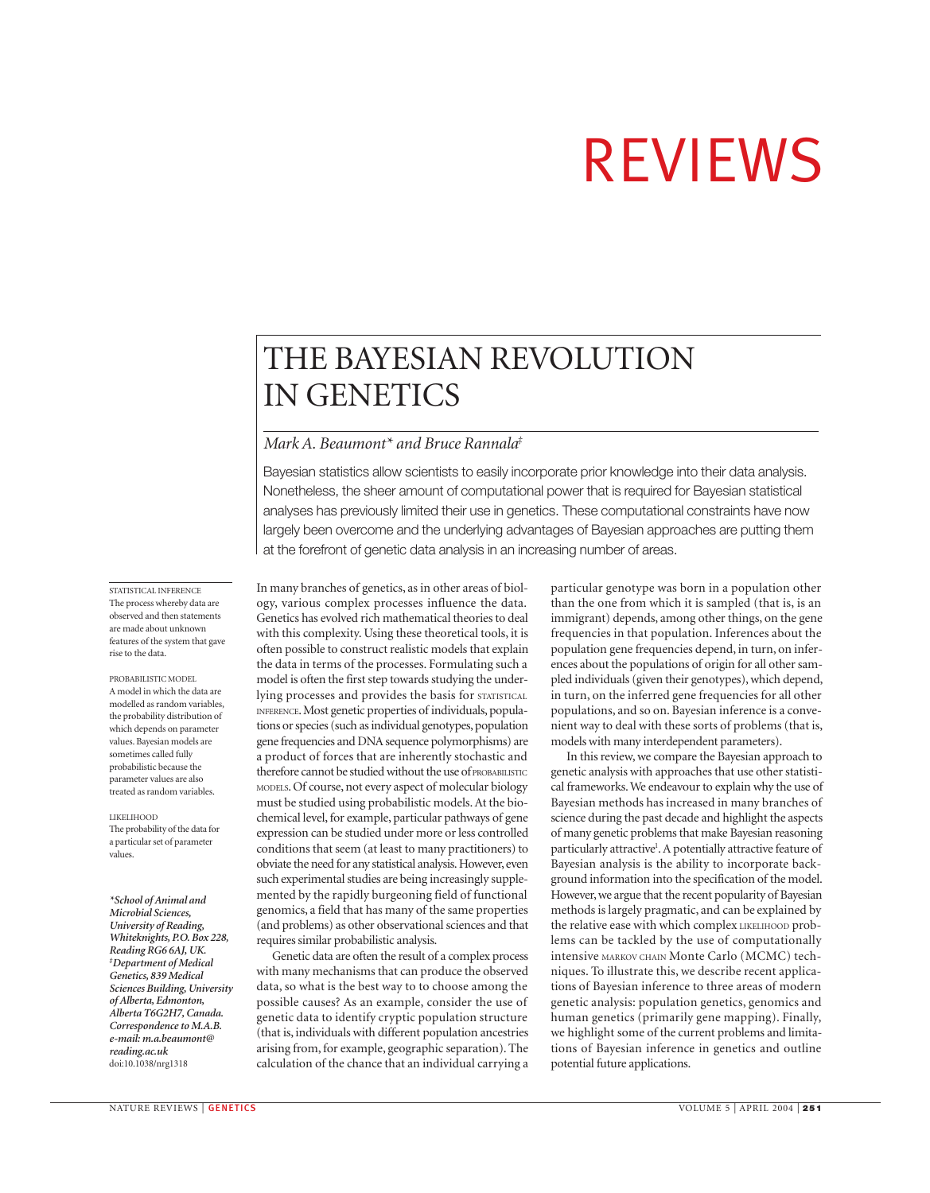# THE BAYESIAN REVOLUTION IN GENETICS

# *Mark A. Beaumont\* and Bruce Rannala‡*

Bayesian statistics allow scientists to easily incorporate prior knowledge into their data analysis. Nonetheless, the sheer amount of computational power that is required for Bayesian statistical analyses has previously limited their use in genetics. These computational constraints have now largely been overcome and the underlying advantages of Bayesian approaches are putting them at the forefront of genetic data analysis in an increasing number of areas.

STATISTICAL INFERENCE The process whereby data are observed and then statements are made about unknown features of the system that gave rise to the data.

PROBABILISTIC MODEL A model in which the data are modelled as random variables, the probability distribution of which depends on parameter values. Bayesian models are sometimes called fully probabilistic because the parameter values are also treated as random variables.

#### LIKELIHOOD

The probability of the data for a particular set of parameter values.

*\*School of Animal and Microbial Sciences, University of Reading, Whiteknights, P.O. Box 228, Reading RG6 6AJ, UK. ‡ Department of Medical Genetics, 839 Medical Sciences Building, University of Alberta, Edmonton, Alberta T6G2H7, Canada. Correspondence to M.A.B. e-mail: m.a.beaumont@ reading.ac.uk* doi:10.1038/nrg1318

In many branches of genetics, as in other areas of biology, various complex processes influence the data. Genetics has evolved rich mathematical theories to deal with this complexity. Using these theoretical tools, it is often possible to construct realistic models that explain the data in terms of the processes. Formulating such a model is often the first step towards studying the underlying processes and provides the basis for STATISTICAL INFERENCE. Most genetic properties of individuals, populations or species (such as individual genotypes, population gene frequencies and DNA sequence polymorphisms) are a product of forces that are inherently stochastic and therefore cannot be studied without the use of PROBABILISTIC MODELS. Of course, not every aspect of molecular biology must be studied using probabilistic models. At the biochemical level, for example, particular pathways of gene expression can be studied under more or less controlled conditions that seem (at least to many practitioners) to obviate the need for any statistical analysis. However, even such experimental studies are being increasingly supplemented by the rapidly burgeoning field of functional genomics, a field that has many of the same properties (and problems) as other observational sciences and that requires similar probabilistic analysis.

Genetic data are often the result of a complex process with many mechanisms that can produce the observed data, so what is the best way to to choose among the possible causes? As an example, consider the use of genetic data to identify cryptic population structure (that is, individuals with different population ancestries arising from, for example, geographic separation). The calculation of the chance that an individual carrying a particular genotype was born in a population other than the one from which it is sampled (that is, is an immigrant) depends, among other things, on the gene frequencies in that population. Inferences about the population gene frequencies depend, in turn, on inferences about the populations of origin for all other sampled individuals (given their genotypes), which depend, in turn, on the inferred gene frequencies for all other populations, and so on. Bayesian inference is a convenient way to deal with these sorts of problems (that is, models with many interdependent parameters).

In this review, we compare the Bayesian approach to genetic analysis with approaches that use other statistical frameworks. We endeavour to explain why the use of Bayesian methods has increased in many branches of science during the past decade and highlight the aspects of many genetic problems that make Bayesian reasoning particularly attractive<sup>1</sup>. A potentially attractive feature of Bayesian analysis is the ability to incorporate background information into the specification of the model. However, we argue that the recent popularity of Bayesian methods is largely pragmatic, and can be explained by the relative ease with which complex LIKELIHOOD problems can be tackled by the use of computationally intensive MARKOV CHAIN Monte Carlo (MCMC) techniques. To illustrate this, we describe recent applications of Bayesian inference to three areas of modern genetic analysis: population genetics, genomics and human genetics (primarily gene mapping). Finally, we highlight some of the current problems and limitations of Bayesian inference in genetics and outline potential future applications.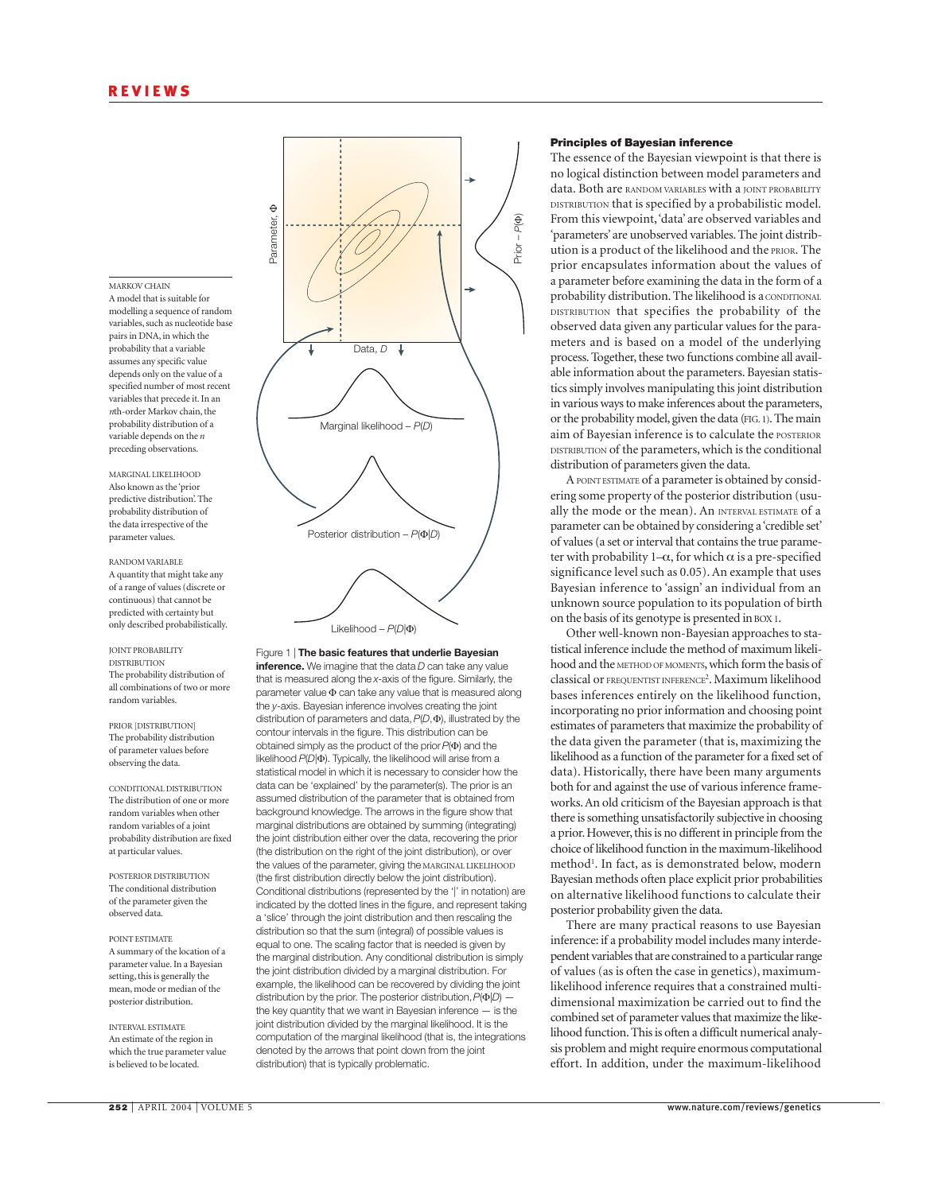#### MARKOV CHAIN

A model that is suitable for modelling a sequence of random variables, such as nucleotide base pairs in DNA, in which the probability that a variable assumes any specific value depends only on the value of a specified number of most recent variables that precede it. In an *n*th-order Markov chain, the probability distribution of a variable depends on the *n* preceding observations.

MARGINAL LIKELIHOOD Also known as the 'prior predictive distribution' The probability distribution of the data irrespective of the parameter values.

RANDOM VARIABLE A quantity that might take any of a range of values (discrete or continuous) that cannot be predicted with certainty but only described probabilistically.

JOINT PROBABILITY DISTRIBUTION The probability distribution of all combinations of two or more random variables.

PRIOR [DISTRIBUTION] The probability distribution of parameter values before observing the data.

CONDITIONAL DISTRIBUTION The distribution of one or more random variables when other random variables of a joint probability distribution are fixed at particular values.

POSTERIOR DISTRIBUTION The conditional distribution of the parameter given the observed data.

#### POINT ESTIMATE

A summary of the location of a parameter value. In a Bayesian setting, this is generally the mean, mode or median of the posterior distribution.

INTERVAL ESTIMATE An estimate of the region in which the true parameter value is believed to be located.



Figure 1 | **The basic features that underlie Bayesian inference.** We imagine that the data *D* can take any value that is measured along the *x*-axis of the figure. Similarly, the parameter value Φ can take any value that is measured along the *y*-axis. Bayesian inference involves creating the joint distribution of parameters and data, *P*(*D*,Φ), illustrated by the contour intervals in the figure. This distribution can be obtained simply as the product of the prior *P*(Φ) and the likelihood *P*(*D*|Φ). Typically, the likelihood will arise from a statistical model in which it is necessary to consider how the data can be 'explained' by the parameter(s). The prior is an assumed distribution of the parameter that is obtained from background knowledge. The arrows in the figure show that marginal distributions are obtained by summing (integrating) the joint distribution either over the data, recovering the prior (the distribution on the right of the joint distribution), or over the values of the parameter, giving the MARGINAL LIKELIHOOD (the first distribution directly below the joint distribution). Conditional distributions (represented by the '|' in notation) are indicated by the dotted lines in the figure, and represent taking a 'slice' through the joint distribution and then rescaling the distribution so that the sum (integral) of possible values is equal to one. The scaling factor that is needed is given by the marginal distribution. Any conditional distribution is simply the joint distribution divided by a marginal distribution. For example, the likelihood can be recovered by dividing the joint distribution by the prior. The posterior distribution, *P*(Φ|*D*) the key quantity that we want in Bayesian inference — is the joint distribution divided by the marginal likelihood. It is the computation of the marginal likelihood (that is, the integrations denoted by the arrows that point down from the joint distribution) that is typically problematic.

#### Principles of Bayesian inference

The essence of the Bayesian viewpoint is that there is no logical distinction between model parameters and data. Both are RANDOM VARIABLES with a JOINT PROBABILITY DISTRIBUTION that is specified by a probabilistic model. From this viewpoint,'data' are observed variables and 'parameters' are unobserved variables. The joint distribution is a product of the likelihood and the PRIOR. The prior encapsulates information about the values of a parameter before examining the data in the form of a probability distribution. The likelihood is a CONDITIONAL DISTRIBUTION that specifies the probability of the observed data given any particular values for the parameters and is based on a model of the underlying process. Together, these two functions combine all available information about the parameters. Bayesian statistics simply involves manipulating this joint distribution in various ways to make inferences about the parameters, or the probability model, given the data (FIG. 1). The main aim of Bayesian inference is to calculate the POSTERIOR DISTRIBUTION of the parameters, which is the conditional distribution of parameters given the data.

A POINT ESTIMATE of a parameter is obtained by considering some property of the posterior distribution (usually the mode or the mean). An INTERVAL ESTIMATE of a parameter can be obtained by considering a 'credible set' of values (a set or interval that contains the true parameter with probability  $1-\alpha$ , for which  $\alpha$  is a pre-specified significance level such as 0.05). An example that uses Bayesian inference to 'assign' an individual from an unknown source population to its population of birth on the basis of its genotype is presented in BOX 1.

Other well-known non-Bayesian approaches to statistical inference include the method of maximum likelihood and the METHOD OF MOMENTS, which form the basis of classical or FREQUENTIST INFERENCE2 . Maximum likelihood bases inferences entirely on the likelihood function, incorporating no prior information and choosing point estimates of parameters that maximize the probability of the data given the parameter (that is, maximizing the likelihood as a function of the parameter for a fixed set of data). Historically, there have been many arguments both for and against the use of various inference frameworks. An old criticism of the Bayesian approach is that there is something unsatisfactorily subjective in choosing a prior. However, this is no different in principle from the choice of likelihood function in the maximum-likelihood method<sup>1</sup>. In fact, as is demonstrated below, modern Bayesian methods often place explicit prior probabilities on alternative likelihood functions to calculate their posterior probability given the data.

There are many practical reasons to use Bayesian inference: if a probability model includes many interdependent variables that are constrained to a particular range of values (as is often the case in genetics), maximumlikelihood inference requires that a constrained multidimensional maximization be carried out to find the combined set of parameter values that maximize the likelihood function. This is often a difficult numerical analysis problem and might require enormous computational effort. In addition, under the maximum-likelihood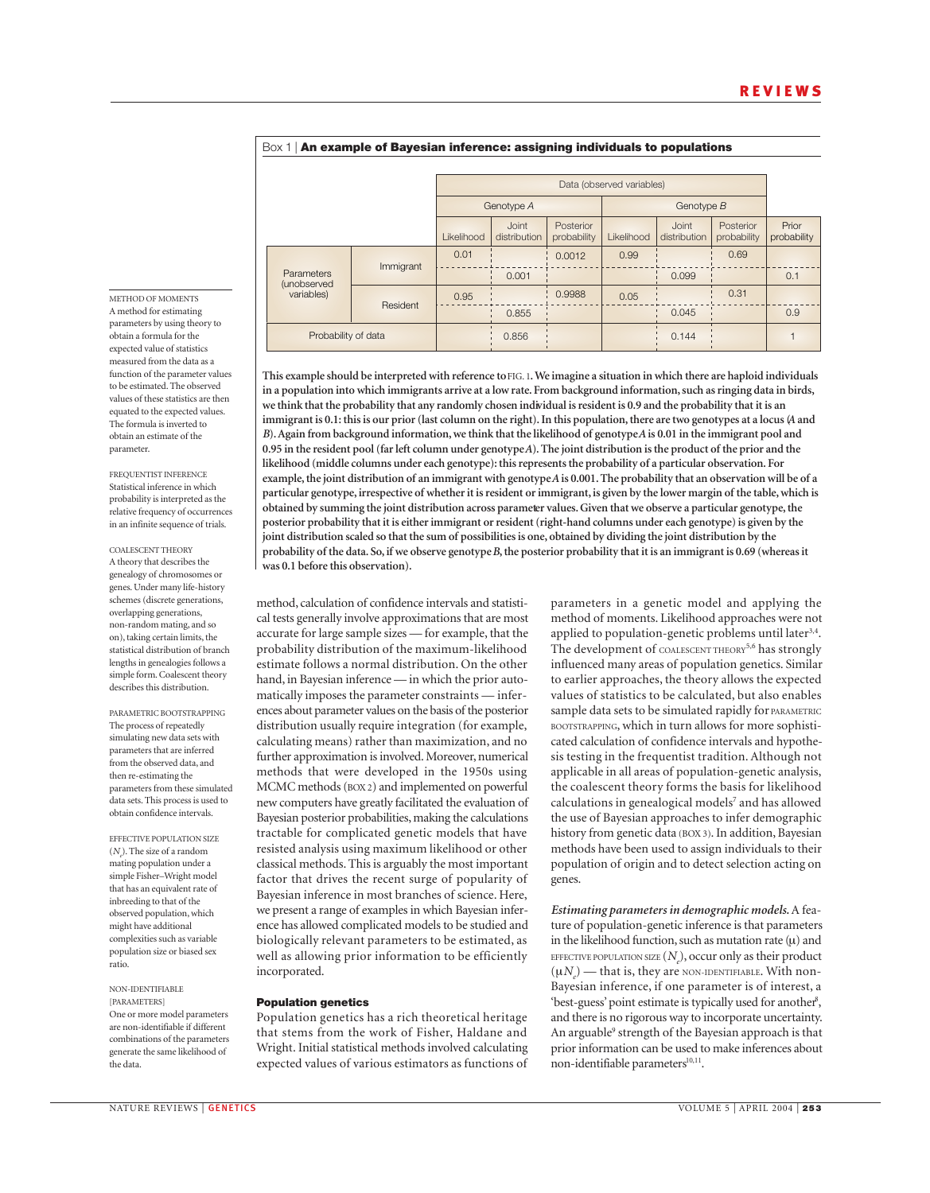|                                         |            | Data (observed variables) |                       |                                 |            |                       |                          |                      |
|-----------------------------------------|------------|---------------------------|-----------------------|---------------------------------|------------|-----------------------|--------------------------|----------------------|
|                                         | Genotype A |                           |                       | Genotype $B$                    |            |                       |                          |                      |
|                                         |            | Likelihood                | Joint<br>distribution | <b>Posterior</b><br>probability | Likelihood | Joint<br>distribution | Posterior<br>probability | Prior<br>probability |
| Parameters<br>(unobserved<br>variables) | Immigrant  | 0.01                      |                       | 0.0012                          | 0.99       |                       | 0.69                     |                      |
|                                         |            |                           | 0.001                 |                                 |            | 0.099                 |                          | 0.1                  |
|                                         | Resident   | 0.95                      |                       | 0.9988                          | 0.05       |                       | 0.31                     |                      |
|                                         |            |                           | 0.855                 |                                 |            | 0.045                 |                          | 0.9                  |
| Probability of data                     |            |                           | 0.856                 |                                 |            | 0.144                 |                          |                      |

**This example should be interpreted with reference to** FIG. 1**. We imagine a situation in which there are haploid individuals in a population into which immigrants arrive at a low rate. From background information, such as ringing data in birds, we think that the probability that any randomly chosen individual is resident is 0.9 and the probability that it is an immigrant is 0.1: this is our prior (last column on the right). In this population, there are two genotypes at a locus (***A* **and** *B***). Again from background information, we think that the likelihood of genotype** *A* **is 0.01 in the immigrant pool and 0.95 in the resident pool (far left column under genotype** *A***). The joint distribution is the product of the prior and the likelihood (middle columns under each genotype): this represents the probability of a particular observation. For example, the joint distribution of an immigrant with genotype** *A* **is 0.001. The probability that an observation will be of a particular genotype, irrespective of whether it is resident or immigrant, is given by the lower margin of the table, which is obtained by summing the joint distribution across parameter values. Given that we observe a particular genotype, the posterior probability that it is either immigrant or resident (right-hand columns under each genotype) is given by the joint distribution scaled so that the sum of possibilities is one, obtained by dividing the joint distribution by the**

#### Box 1 | An example of Bayesian inference: assigning individuals to populations

METHOD OF MOMENTS A method for estimating parameters by using theory to obtain a formula for the expected value of statistics measured from the data as a function of the parameter values to be estimated. The observed values of these statistics are then equated to the expected values. The formula is inverted to obtain an estimate of the parameter.

FREQUENTIST INFERENCE Statistical inference in which probability is interpreted as the relative frequency of occurrences in an infinite sequence of trials.

COALESCENT THEORY A theory that describes the genealogy of chromosomes or genes. Under many life-history schemes (discrete generations, overlapping generations, non-random mating, and so on), taking certain limits, the statistical distribution of branch lengths in genealogies follows a simple form. Coalescent theory describes this distribution.

PARAMETRIC BOOTSTRAPPING The process of repeatedly simulating new data sets with parameters that are inferred from the observed data, and then re-estimating the parameters from these simulated data sets. This process is used to obtain confidence intervals.

EFFECTIVE POPULATION SIZE (*Ne* ). The size of a random mating population under a simple Fisher–Wright model that has an equivalent rate of inbreeding to that of the observed population, which might have additional complexities such as variable population size or biased sex ratio.

NON-IDENTIFIABLE [PARAMETERS] One or more model parameters are non-identifiable if different combinations of the parameters generate the same likelihood of the data.

method, calculation of confidence intervals and statistical tests generally involve approximations that are most accurate for large sample sizes — for example, that the probability distribution of the maximum-likelihood estimate follows a normal distribution. On the other hand, in Bayesian inference — in which the prior automatically imposes the parameter constraints — inferences about parameter values on the basis of the posterior distribution usually require integration (for example, calculating means) rather than maximization, and no further approximation is involved. Moreover, numerical methods that were developed in the 1950s using MCMC methods (BOX 2) and implemented on powerful new computers have greatly facilitated the evaluation of Bayesian posterior probabilities, making the calculations tractable for complicated genetic models that have resisted analysis using maximum likelihood or other classical methods. This is arguably the most important factor that drives the recent surge of popularity of Bayesian inference in most branches of science. Here, we present a range of examples in which Bayesian inference has allowed complicated models to be studied and biologically relevant parameters to be estimated, as well as allowing prior information to be efficiently incorporated. **probability of the data. So, if we observe genotype** *B***, the posterior probability that it is an immigrant is 0.69 (whereas it was 0.1 before this observation).**

#### Population genetics

Population genetics has a rich theoretical heritage that stems from the work of Fisher, Haldane and Wright. Initial statistical methods involved calculating expected values of various estimators as functions of

parameters in a genetic model and applying the method of moments. Likelihood approaches were not applied to population-genetic problems until later<sup>3,4</sup>. The development of COALESCENT THEORY<sup>5,6</sup> has strongly influenced many areas of population genetics. Similar to earlier approaches, the theory allows the expected values of statistics to be calculated, but also enables sample data sets to be simulated rapidly for PARAMETRIC BOOTSTRAPPING, which in turn allows for more sophisticated calculation of confidence intervals and hypothesis testing in the frequentist tradition. Although not applicable in all areas of population-genetic analysis, the coalescent theory forms the basis for likelihood calculations in genealogical models<sup>7</sup> and has allowed the use of Bayesian approaches to infer demographic history from genetic data (BOX 3). In addition, Bayesian methods have been used to assign individuals to their population of origin and to detect selection acting on genes.

*Estimating parameters in demographic models.*A feature of population-genetic inference is that parameters in the likelihood function, such as mutation rate  $(\mu)$  and effective population size  $(N_{\tiny e}^{\rm})$ , occur only as their product  $(\mu N_e)$  — that is, they are non-identifiable. With non-Bayesian inference, if one parameter is of interest, a 'best-guess' point estimate is typically used for another<sup>8</sup>, and there is no rigorous way to incorporate uncertainty. An arguable<sup>9</sup> strength of the Bayesian approach is that prior information can be used to make inferences about non-identifiable parameters<sup>10,11</sup>.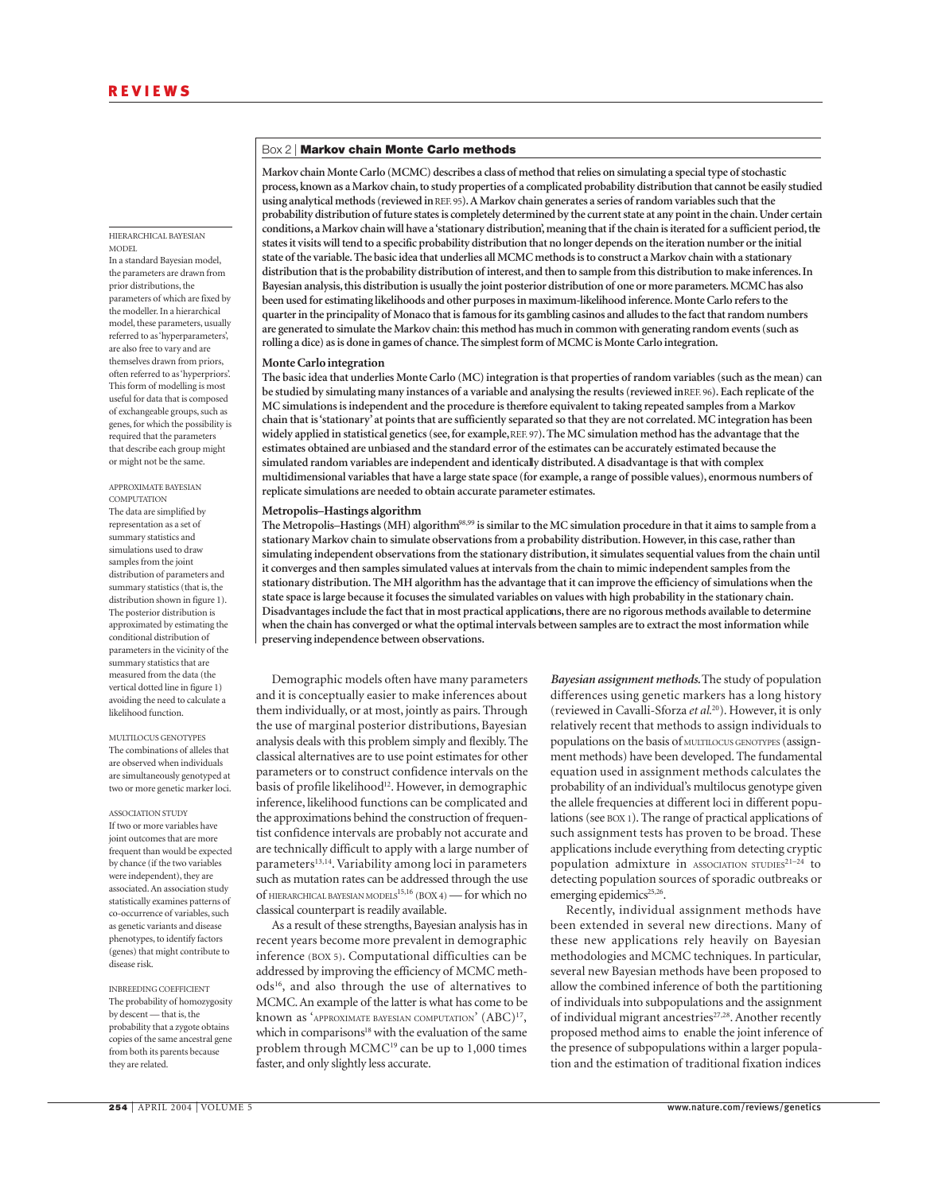#### Box 2 | Markov chain Monte Carlo methods

**Markov chain Monte Carlo (MCMC) describes a class of method that relies on simulating a special type of stochastic process, known as a Markov chain, to study properties of a complicated probability distribution that cannot be easily studied using analytical methods (reviewed in** REF. 95**).A Markov chain generates a series of random variables such that the probability distribution of future states is completely determined by the current state at any point in the chain. Under certain conditions, a Markov chain will have a 'stationary distribution', meaning that if the chain is iterated for a sufficient period, the states it visits will tend to a specific probability distribution that no longer depends on the iteration number or the initial state of the variable. The basic idea that underlies all MCMC methods is to construct a Markov chain with a stationary distribution that is the probability distribution of interest, and then to sample from this distribution to make inferences. In Bayesian analysis, this distribution is usually the joint posterior distribution of one or more parameters. MCMC has also been used for estimating likelihoods and other purposes in maximum-likelihood inference. Monte Carlo refers to the quarter in the principality of Monaco that is famous for its gambling casinos and alludes to the fact that random numbers are generated to simulate the Markov chain: this method has much in common with generating random events (such as rolling a dice) as is done in games of chance. The simplest form of MCMC is Monte Carlo integration.**

#### **Monte Carlo integration**

**The basic idea that underlies Monte Carlo (MC) integration is that properties of random variables (such as the mean) can** be studied by simulating many instances of a variable and analysing the results (reviewed inREF. 96). Each replicate of the **MC simulations is independent and the procedure is therefore equivalent to taking repeated samples from a Markov chain that is 'stationary' at points that are sufficiently separated so that they are not correlated. MC integration has been widely applied in statistical genetics (see, for example,**REF. 97**). The MC simulation method has the advantage that the estimates obtained are unbiased and the standard error of the estimates can be accurately estimated because the simulated random variables are independent and identically distributed. A disadvantage is that with complex multidimensional variables that have a large state space (for example, a range of possible values), enormous numbers of replicate simulations are needed to obtain accurate parameter estimates.**

#### **Metropolis–Hastings algorithm**

**The Metropolis–Hastings (MH) algorithm**98,99 **is similar to the MC simulation procedure in that it aims to sample from a stationary Markov chain to simulate observations from a probability distribution. However, in this case, rather than simulating independent observations from the stationary distribution, it simulates sequential values from the chain until it converges and then samples simulated values at intervals from the chain to mimic independent samples from the stationary distribution. The MH algorithm has the advantage that it can improve the efficiency of simulations when the state space is large because it focuses the simulated variables on values with high probability in the stationary chain. Disadvantages include the fact that in most practical applications, there are no rigorous methods available to determine when the chain has converged or what the optimal intervals between samples are to extract the most information while preserving independence between observations.**

Demographic models often have many parameters and it is conceptually easier to make inferences about them individually, or at most, jointly as pairs. Through the use of marginal posterior distributions, Bayesian analysis deals with this problem simply and flexibly. The classical alternatives are to use point estimates for other parameters or to construct confidence intervals on the basis of profile likelihood<sup>12</sup>. However, in demographic inference, likelihood functions can be complicated and the approximations behind the construction of frequentist confidence intervals are probably not accurate and are technically difficult to apply with a large number of parameters<sup>13,14</sup>. Variability among loci in parameters such as mutation rates can be addressed through the use of HIERARCHICAL BAYESIAN MODELS<sup>15,16</sup> (BOX 4) — for which no classical counterpart is readily available.

As a result of these strengths, Bayesian analysis has in recent years become more prevalent in demographic inference (BOX 5). Computational difficulties can be addressed by improving the efficiency of MCMC methods16, and also through the use of alternatives to MCMC. An example of the latter is what has come to be known as 'APPROXIMATE BAYESIAN COMPUTATION' (ABC)<sup>17</sup>, which in comparisons<sup>18</sup> with the evaluation of the same problem through MCMC<sup>19</sup> can be up to 1,000 times faster, and only slightly less accurate.

*Bayesian assignment methods.*The study of population differences using genetic markers has a long history (reviewed in Cavalli-Sforza *et al.*20). However, it is only relatively recent that methods to assign individuals to populations on the basis of MULTILOCUS GENOTYPES (assignment methods) have been developed. The fundamental equation used in assignment methods calculates the probability of an individual's multilocus genotype given the allele frequencies at different loci in different populations (see BOX 1). The range of practical applications of such assignment tests has proven to be broad. These applications include everything from detecting cryptic population admixture in ASSOCIATION STUDIES<sup>21-24</sup> to detecting population sources of sporadic outbreaks or emerging epidemics<sup>25,26</sup>.

Recently, individual assignment methods have been extended in several new directions. Many of these new applications rely heavily on Bayesian methodologies and MCMC techniques. In particular, several new Bayesian methods have been proposed to allow the combined inference of both the partitioning of individuals into subpopulations and the assignment of individual migrant ancestries<sup>27,28</sup>. Another recently proposed method aims to enable the joint inference of the presence of subpopulations within a larger population and the estimation of traditional fixation indices

#### HIERARCHICAL BAYESIAN MODEL

In a standard Bayesian model, the parameters are drawn from prior distributions, the parameters of which are fixed by the modeller. In a hierarchical model, these parameters, usually referred to as 'hyperparameters', are also free to vary and are themselves drawn from priors, often referred to as 'hyperpriors'. This form of modelling is most useful for data that is composed of exchangeable groups, such as genes, for which the possibility is required that the parameters that describe each group might or might not be the same.

#### APPROXIMATE BAYESIAN COMPUTATION

The data are simplified by representation as a set of summary statistics and simulations used to draw samples from the joint distribution of parameters and summary statistics (that is, the distribution shown in figure 1). The posterior distribution is approximated by estimating the conditional distribution of parameters in the vicinity of the summary statistics that are measured from the data (the vertical dotted line in figure 1) avoiding the need to calculate a likelihood function.

#### MULTILOCUS GENOTYPES The combinations of alleles that are observed when individuals are simultaneously genotyped at two or more genetic marker loci.

#### ASSOCIATION STUDY

If two or more variables have joint outcomes that are more frequent than would be expected by chance (if the two variables were independent), they are associated. An association study statistically examines patterns of co-occurrence of variables, such as genetic variants and disease phenotypes, to identify factors (genes) that might contribute to disease risk.

INBREEDING COEFFICIENT The probability of homozygosity by descent — that is, the probability that a zygote obtains copies of the same ancestral gene from both its parents because they are related.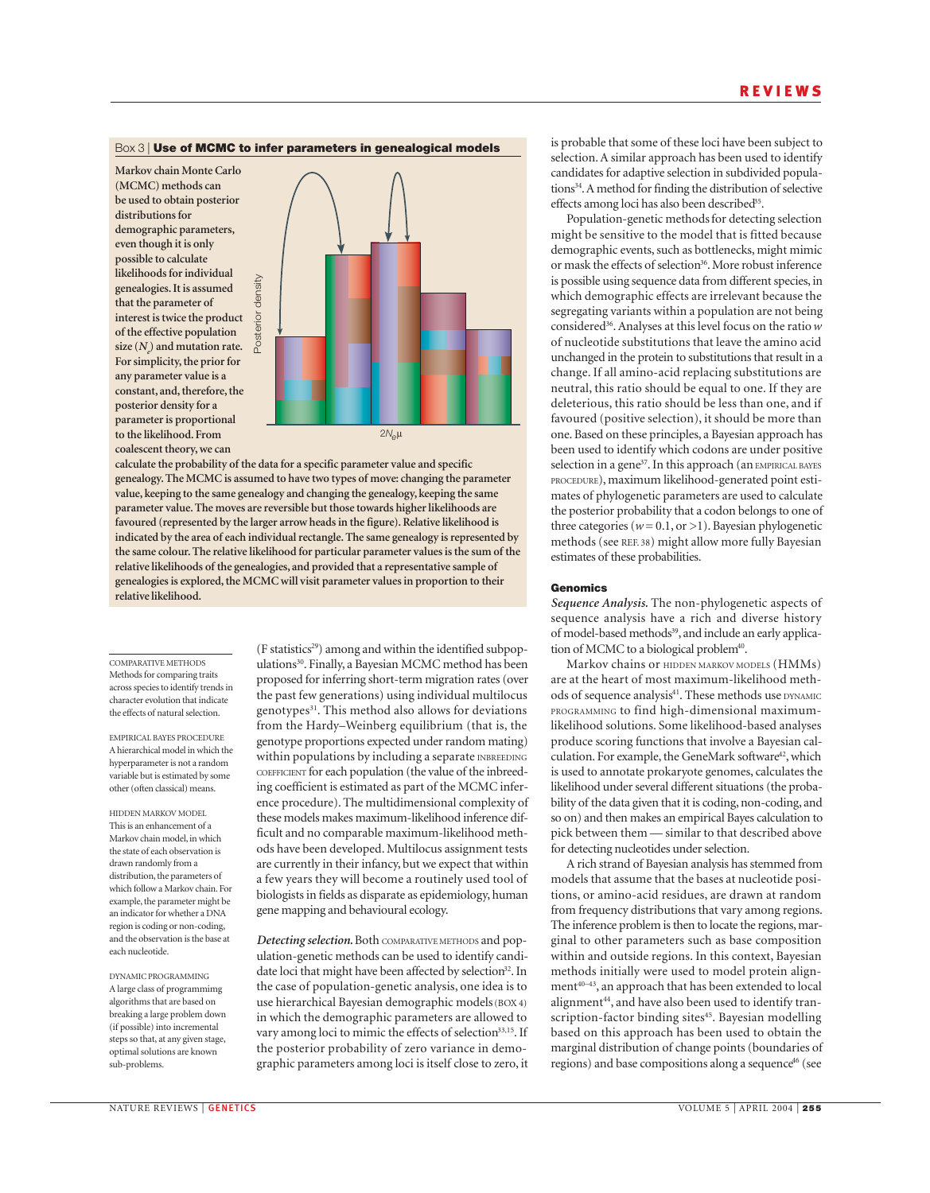#### Box 3 | Use of MCMC to infer parameters in genealogical models

**Markov chain Monte Carlo (MCMC) methods can be used to obtain posterior distributions for demographic parameters, even though it is only possible to calculate likelihoods for individual genealogies. It is assumed that the parameter of interest is twice the product of the effective population** size  $(N_e)$  and mutation rate. **For simplicity, the prior for any parameter value is a constant, and, therefore, the posterior density for a parameter is proportional to the likelihood. From coalescent theory, we can**



**calculate the probability of the data for a specific parameter value and specific genealogy. The MCMC is assumed to have two types of move: changing the parameter value, keeping to the same genealogy and changing the genealogy, keeping the same parameter value. The moves are reversible but those towards higher likelihoods are favoured (represented by the larger arrow heads in the figure). Relative likelihood is indicated by the area of each individual rectangle. The same genealogy is represented by the same colour. The relative likelihood for particular parameter values is the sum of the relative likelihoods of the genealogies, and provided that a representative sample of genealogies is explored, the MCMC will visit parameter values in proportion to their relative likelihood.**

COMPARATIVE METHODS Methods for comparing traits across species to identify trends in character evolution that indicate the effects of natural selection.

EMPIRICAL BAYES PROCEDURE A hierarchical model in which the hyperparameter is not a random variable but is estimated by some other (often classical) means.

HIDDEN MARKOV MODEL This is an enhancement of a Markov chain model, in which the state of each observation is drawn randomly from a distribution, the parameters of which follow a Markov chain. For example, the parameter might be an indicator for whether a DNA region is coding or non-coding, and the observation is the base at each nucleotide.

DYNAMIC PROGRAMMING A large class of programmimg algorithms that are based on breaking a large problem down (if possible) into incremental steps so that, at any given stage, optimal solutions are known sub-problems.

(F statistics29) among and within the identified subpopulations<sup>30</sup>. Finally, a Bayesian MCMC method has been proposed for inferring short-term migration rates (over the past few generations) using individual multilocus genotypes<sup>31</sup>. This method also allows for deviations from the Hardy–Weinberg equilibrium (that is, the genotype proportions expected under random mating) within populations by including a separate INBREEDING COEFFICIENT for each population (the value of the inbreeding coefficient is estimated as part of the MCMC inference procedure). The multidimensional complexity of these models makes maximum-likelihood inference difficult and no comparable maximum-likelihood methods have been developed. Multilocus assignment tests are currently in their infancy, but we expect that within a few years they will become a routinely used tool of biologists in fields as disparate as epidemiology, human gene mapping and behavioural ecology.

*Detecting selection.*Both COMPARATIVE METHODS and population-genetic methods can be used to identify candidate loci that might have been affected by selection<sup>32</sup>. In the case of population-genetic analysis, one idea is to use hierarchical Bayesian demographic models (BOX 4) in which the demographic parameters are allowed to vary among loci to mimic the effects of selection<sup>33,15</sup>. If the posterior probability of zero variance in demographic parameters among loci is itself close to zero, it

is probable that some of these loci have been subject to selection. A similar approach has been used to identify candidates for adaptive selection in subdivided populations<sup>34</sup>. A method for finding the distribution of selective effects among loci has also been described<sup>35</sup>.

Population-genetic methods for detecting selection might be sensitive to the model that is fitted because demographic events, such as bottlenecks, might mimic or mask the effects of selection<sup>36</sup>. More robust inference is possible using sequence data from different species, in which demographic effects are irrelevant because the segregating variants within a population are not being considered36. Analyses at this level focus on the ratio *w* of nucleotide substitutions that leave the amino acid unchanged in the protein to substitutions that result in a change. If all amino-acid replacing substitutions are neutral, this ratio should be equal to one. If they are deleterious, this ratio should be less than one, and if favoured (positive selection), it should be more than one. Based on these principles, a Bayesian approach has been used to identify which codons are under positive selection in a gene<sup>37</sup>. In this approach (an EMPIRICAL BAYES PROCEDURE), maximum likelihood-generated point estimates of phylogenetic parameters are used to calculate the posterior probability that a codon belongs to one of three categories ( $w = 0.1$ , or  $>1$ ). Bayesian phylogenetic methods (see REF. 38) might allow more fully Bayesian estimates of these probabilities.

#### Genomics

*Sequence Analysis.* The non-phylogenetic aspects of sequence analysis have a rich and diverse history of model-based methods<sup>39</sup>, and include an early application of MCMC to a biological problem<sup>40</sup>.

Markov chains or HIDDEN MARKOV MODELS (HMMs) are at the heart of most maximum-likelihood methods of sequence analysis<sup>41</sup>. These methods use DYNAMIC PROGRAMMING to find high-dimensional maximumlikelihood solutions. Some likelihood-based analyses produce scoring functions that involve a Bayesian calculation. For example, the GeneMark software<sup>42</sup>, which is used to annotate prokaryote genomes, calculates the likelihood under several different situations (the probability of the data given that it is coding, non-coding, and so on) and then makes an empirical Bayes calculation to pick between them — similar to that described above for detecting nucleotides under selection.

A rich strand of Bayesian analysis has stemmed from models that assume that the bases at nucleotide positions, or amino-acid residues, are drawn at random from frequency distributions that vary among regions. The inference problem is then to locate the regions, marginal to other parameters such as base composition within and outside regions. In this context, Bayesian methods initially were used to model protein alignment<sup>40-43</sup>, an approach that has been extended to local alignment<sup>44</sup>, and have also been used to identify transcription-factor binding sites<sup>45</sup>. Bayesian modelling based on this approach has been used to obtain the marginal distribution of change points (boundaries of regions) and base compositions along a sequence<sup>46</sup> (see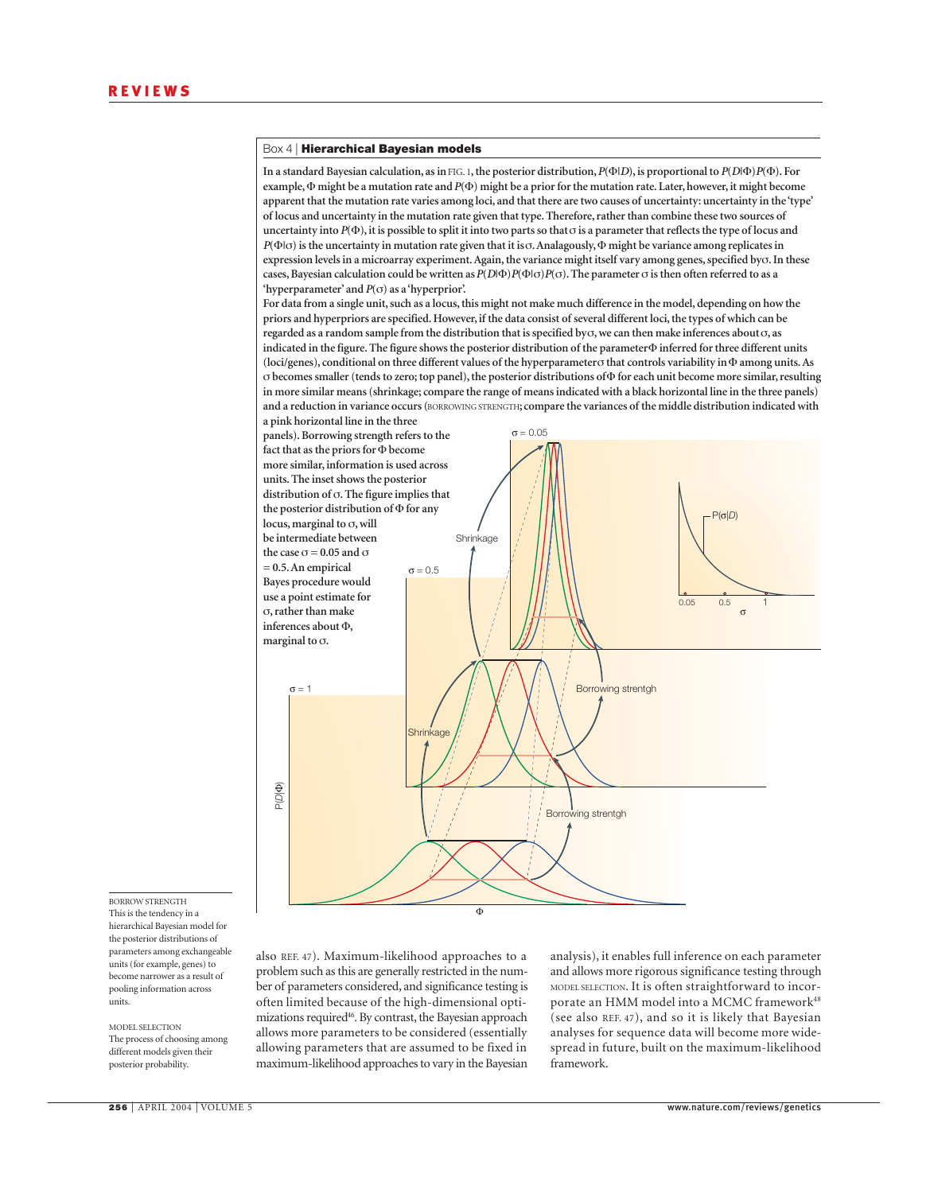## Box 4 | Hierarchical Bayesian models

In a standard Bayesian calculation, as in FIG. 1, the posterior distribution,  $P(\Phi|D)$ , is proportional to  $P(D|\Phi)P(\Phi)$ . For **example,**Φ **might be a mutation rate and** *P***(**Φ**) might be a prior for the mutation rate. Later, however, it might become apparent that the mutation rate varies among loci, and that there are two causes of uncertainty: uncertainty in the 'type' of locus and uncertainty in the mutation rate given that type. Therefore, rather than combine these two sources of uncertainty into** *P***(**Φ**), it is possible to split it into two parts so that** σ **is a parameter that reflects the type of locus and** *P***(**Φ**|**σ**) is the uncertainty in mutation rate given that it is** σ**. Analagously,**Φ **might be variance among replicates in** expression levels in a microarray experiment. Again, the variance might itself vary among genes, specified byσ. In these **cases, Bayesian calculation could be written as** *P***(***D***|**Φ**)***P***(**Φ**|**σ**)***P***(**σ**). The parameter** σ **is then often referred to as a 'hyperparameter' and** *P***(**σ**) as a 'hyperprior'.**

**For data from a single unit, such as a locus, this might not make much difference in the model, depending on how the priors and hyperpriors are specified. However, if the data consist of several different loci, the types of which can be regarded as a random sample from the distribution that is specified by** σ**, we can then make inferences about** σ**, as indicated in the figure. The figure shows the posterior distribution of the parameter**Φ **inferred for three different units (loci/genes), conditional on three different values of the hyperparameter** σ **that controls variability in** Φ **among units. As** σ **becomes smaller (tends to zero; top panel), the posterior distributions of**Φ **for each unit become more similar, resulting in more similar means (shrinkage; compare the range of means indicated with a black horizontal line in the three panels) and a reduction in variance occurs (**BORROWING STRENGTH**; compare the variances of the middle distribution indicated with**



BORROW STRENGTH This is the tendency in a hierarchical Bayesian model for the posterior distributions of parameters among exchangeable units (for example, genes) to become narrower as a result of pooling information across units.

MODEL SELECTION The process of choosing among different models given their posterior probability.

also REF. 47). Maximum-likelihood approaches to a problem such as this are generally restricted in the number of parameters considered, and significance testing is often limited because of the high-dimensional optimizations required<sup>46</sup>. By contrast, the Bayesian approach allows more parameters to be considered (essentially allowing parameters that are assumed to be fixed in maximum-likelihood approaches to vary in the Bayesian analysis), it enables full inference on each parameter and allows more rigorous significance testing through MODEL SELECTION. It is often straightforward to incorporate an HMM model into a MCMC framework<sup>48</sup> (see also REF. 47), and so it is likely that Bayesian analyses for sequence data will become more widespread in future, built on the maximum-likelihood framework.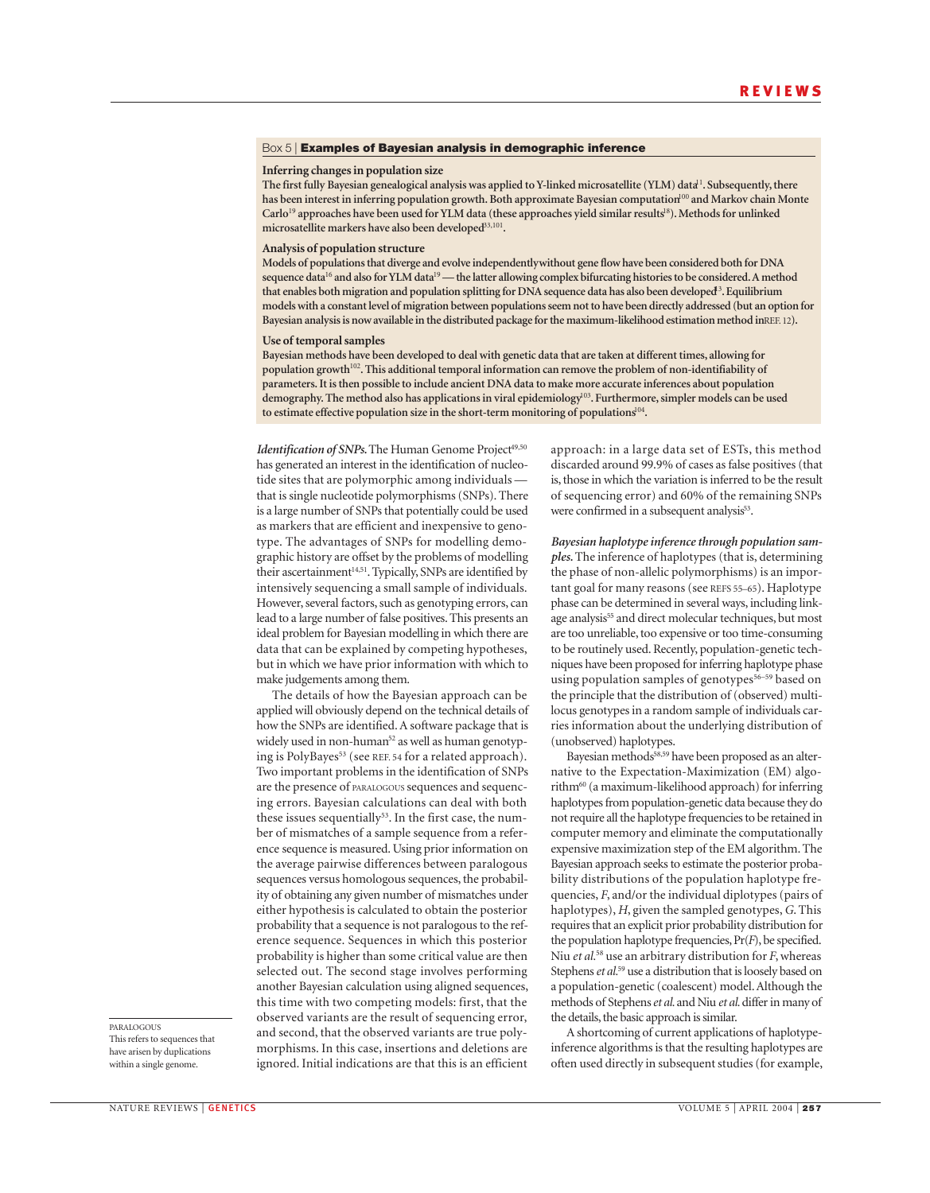#### Box 5 | Examples of Bayesian analysis in demographic inference

#### **Inferring changes in population size**

**The first fully Bayesian genealogical analysis was applied to Y-linked microsatellite (YLM) data**<sup>11</sup>**. Subsequently, there has been interest in inferring population growth. Both approximate Bayesian computation**<sup>100</sup> **and Markov chain Monte Carlo**<sup>19</sup> **approaches have been used for YLM data (these approaches yield similar results**<sup>18</sup>**). Methods for unlinked microsatellite markers have also been developed**33,101**.**

#### **Analysis of population structure**

**Models of populations that diverge and evolve independently without gene flow have been considered both for DNA sequence data**<sup>16</sup> **and also for YLM data**<sup>19</sup>**— the latter allowing complex bifurcating histories to be considered.A method that enables both migration and population splitting for DNA sequence data has also been developed**<sup>13</sup>**. Equilibrium models with a constant level of migration between populations seem not to have been directly addressed (but an option for Bayesian analysis is now available in the distributed package for the maximum-likelihood estimation method inREF. 12).** 

#### **Use of temporal samples**

**Bayesian methods have been developed to deal with genetic data that are taken at different times, allowing for population growth**<sup>102</sup>**.This additional temporal information can remove the problem of non-identifiability of parameters. It is then possible to include ancient DNA data to make more accurate inferences about population demography. The method also has applications in viral epidemiology**<sup>103</sup>**. Furthermore, simpler models can be used**  to estimate effective population size in the short-term monitoring of populations<sup>104</sup>.

*Identification of SNPs*. The Human Genome Project<sup>49,50</sup> has generated an interest in the identification of nucleotide sites that are polymorphic among individuals that is single nucleotide polymorphisms (SNPs). There is a large number of SNPs that potentially could be used as markers that are efficient and inexpensive to genotype. The advantages of SNPs for modelling demographic history are offset by the problems of modelling their ascertainment<sup>14,51</sup>. Typically, SNPs are identified by intensively sequencing a small sample of individuals. However, several factors, such as genotyping errors, can lead to a large number of false positives. This presents an ideal problem for Bayesian modelling in which there are data that can be explained by competing hypotheses, but in which we have prior information with which to make judgements among them.

The details of how the Bayesian approach can be applied will obviously depend on the technical details of how the SNPs are identified. A software package that is widely used in non-human<sup>52</sup> as well as human genotyping is PolyBayes<sup>53</sup> (see REF. 54 for a related approach). Two important problems in the identification of SNPs are the presence of PARALOGOUS sequences and sequencing errors. Bayesian calculations can deal with both these issues sequentially<sup>53</sup>. In the first case, the number of mismatches of a sample sequence from a reference sequence is measured. Using prior information on the average pairwise differences between paralogous sequences versus homologous sequences, the probability of obtaining any given number of mismatches under either hypothesis is calculated to obtain the posterior probability that a sequence is not paralogous to the reference sequence. Sequences in which this posterior probability is higher than some critical value are then selected out. The second stage involves performing another Bayesian calculation using aligned sequences, this time with two competing models: first, that the observed variants are the result of sequencing error, and second, that the observed variants are true polymorphisms. In this case, insertions and deletions are ignored. Initial indications are that this is an efficient

approach: in a large data set of ESTs, this method discarded around 99.9% of cases as false positives (that is, those in which the variation is inferred to be the result of sequencing error) and 60% of the remaining SNPs were confirmed in a subsequent analysis<sup>53</sup>.

*Bayesian haplotype inference through population samples.*The inference of haplotypes (that is, determining the phase of non-allelic polymorphisms) is an important goal for many reasons (see REFS 55–65). Haplotype phase can be determined in several ways, including linkage analysis<sup>55</sup> and direct molecular techniques, but most are too unreliable, too expensive or too time-consuming to be routinely used. Recently, population-genetic techniques have been proposed for inferring haplotype phase using population samples of genotypes<sup>56-59</sup> based on the principle that the distribution of (observed) multilocus genotypes in a random sample of individuals carries information about the underlying distribution of (unobserved) haplotypes.

Bayesian methods<sup>58,59</sup> have been proposed as an alternative to the Expectation-Maximization (EM) algorithm<sup>60</sup> (a maximum-likelihood approach) for inferring haplotypes from population-genetic data because they do not require all the haplotype frequencies to be retained in computer memory and eliminate the computationally expensive maximization step of the EM algorithm. The Bayesian approach seeks to estimate the posterior probability distributions of the population haplotype frequencies, *F*, and/or the individual diplotypes (pairs of haplotypes), *H*, given the sampled genotypes,*G*. This requires that an explicit prior probability distribution for the population haplotype frequencies, Pr(*F*), be specified. Niu *et al.*<sup>58</sup> use an arbitrary distribution for *F*, whereas Stephens *et al.*<sup>59</sup> use a distribution that is loosely based on a population-genetic (coalescent) model. Although the methods of Stephens *et al.* and Niu *et al.* differ in many of the details, the basic approach is similar.

A shortcoming of current applications of haplotypeinference algorithms is that the resulting haplotypes are often used directly in subsequent studies (for example,

**PARALOGOUS** This refers to sequences that have arisen by duplications within a single genome.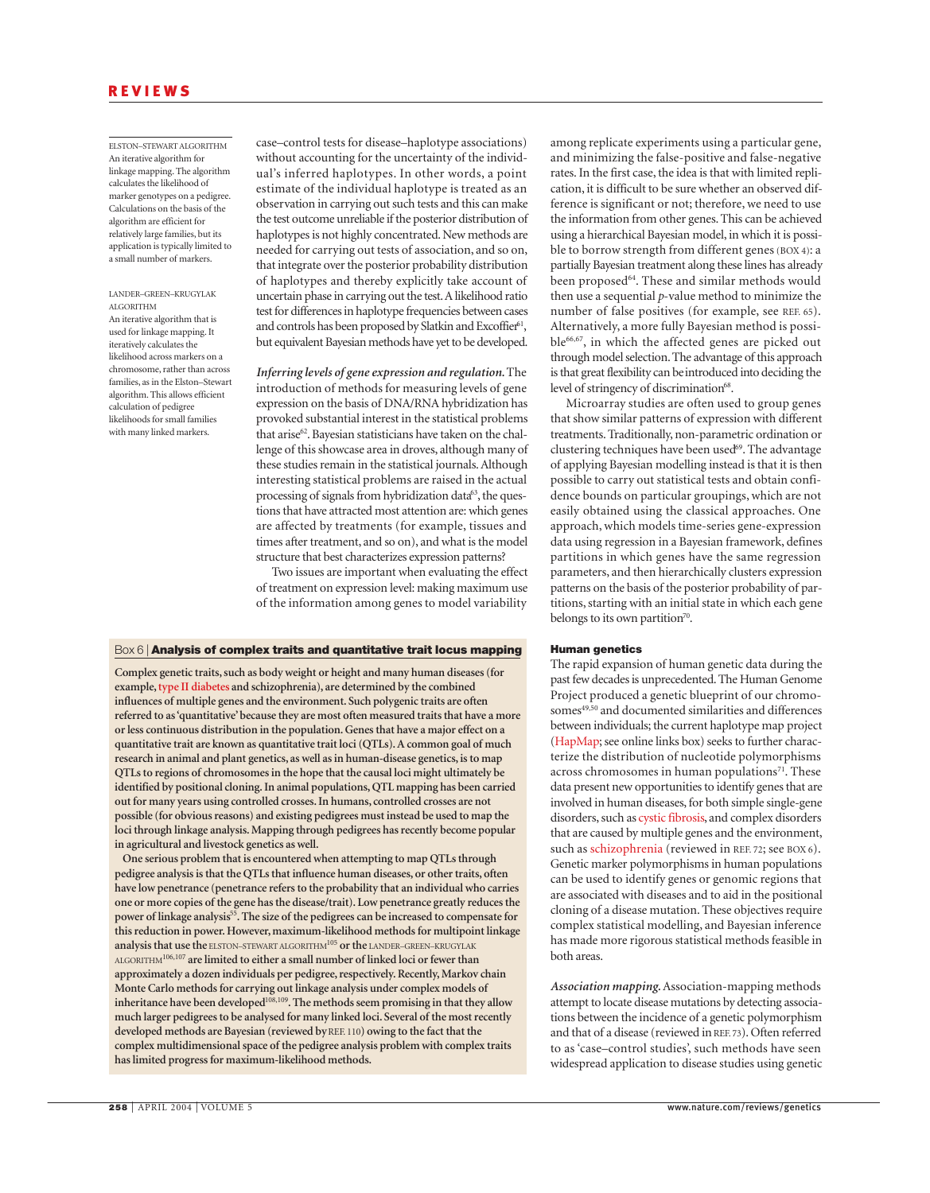ELSTON–STEWART ALGORITHM An iterative algorithm for linkage mapping. The algorithm calculates the likelihood of marker genotypes on a pedigree. Calculations on the basis of the algorithm are efficient for relatively large families, but its application is typically limited to a small number of markers.

#### LANDER–GREEN–KRUGYLAK ALGORITHM

An iterative algorithm that is used for linkage mapping. It iteratively calculates the likelihood across markers on a chromosome, rather than across families, as in the Elston–Stewart algorithm. This allows efficient calculation of pedigree likelihoods for small families with many linked markers.

case–control tests for disease–haplotype associations) without accounting for the uncertainty of the individual's inferred haplotypes. In other words, a point estimate of the individual haplotype is treated as an observation in carrying out such tests and this can make the test outcome unreliable if the posterior distribution of haplotypes is not highly concentrated. New methods are needed for carrying out tests of association, and so on, that integrate over the posterior probability distribution of haplotypes and thereby explicitly take account of uncertain phase in carrying out the test.A likelihood ratio test for differences in haplotype frequencies between cases and controls has been proposed by Slatkin and Excoffier<sup>61</sup>, but equivalent Bayesian methods have yet to be developed.

*Inferring levels of gene expression and regulation.*The introduction of methods for measuring levels of gene expression on the basis of DNA/RNA hybridization has provoked substantial interest in the statistical problems that arise<sup>62</sup>. Bayesian statisticians have taken on the challenge of this showcase area in droves, although many of these studies remain in the statistical journals. Although interesting statistical problems are raised in the actual processing of signals from hybridization data<sup>63</sup>, the questions that have attracted most attention are: which genes are affected by treatments (for example, tissues and times after treatment, and so on), and what is the model structure that best characterizes expression patterns?

Two issues are important when evaluating the effect of treatment on expression level: making maximum use of the information among genes to model variability

#### Box 6 | Analysis of complex traits and quantitative trait locus mapping

**Complex genetic traits, such as body weight or height and many human diseases (for example,type II diabetes and schizophrenia), are determined by the combined influences of multiple genes and the environment. Such polygenic traits are often referred to as 'quantitative' because they are most often measured traits that have a more or less continuous distribution in the population. Genes that have a major effect on a quantitative trait are known as quantitative trait loci (QTLs). A common goal of much research in animal and plant genetics, as well as in human-disease genetics, is to map QTLs to regions of chromosomes in the hope that the causal loci might ultimately be identified by positional cloning. In animal populations, QTL mapping has been carried out for many years using controlled crosses. In humans, controlled crosses are not possible (for obvious reasons) and existing pedigrees must instead be used to map the loci through linkage analysis. Mapping through pedigrees has recently become popular in agricultural and livestock genetics as well.**

**One serious problem that is encountered when attempting to map QTLs through pedigree analysis is that the QTLs that influence human diseases, or other traits, often have low penetrance (penetrance refers to the probability that an individual who carries one or more copies of the gene has the disease/trait). Low penetrance greatly reduces the power of linkage analysis**<sup>55</sup>**.The size of the pedigrees can be increased to compensate for this reduction in power. However, maximum-likelihood methods for multipoint linkage analysis that use the** ELSTON–STEWART ALGORITHM105 **or the** LANDER–GREEN–KRUGYLAK ALGORITHM106,107 **are limited to either a small number of linked loci or fewer than approximately a dozen individuals per pedigree, respectively. Recently, Markov chain Monte Carlo methods for carrying out linkage analysis under complex models of inheritance have been developed**108,109**.The methods seem promising in that they allow much larger pedigrees to be analysed for many linked loci. Several of the most recently developed methods are Bayesian (reviewed by** REF. 110**) owing to the fact that the complex multidimensional space of the pedigree analysis problem with complex traits has limited progress for maximum-likelihood methods.**

among replicate experiments using a particular gene, and minimizing the false-positive and false-negative rates. In the first case, the idea is that with limited replication, it is difficult to be sure whether an observed difference is significant or not; therefore, we need to use the information from other genes. This can be achieved using a hierarchical Bayesian model, in which it is possible to borrow strength from different genes (BOX 4): a partially Bayesian treatment along these lines has already been proposed<sup>64</sup>. These and similar methods would then use a sequential *p*-value method to minimize the number of false positives (for example, see REF. 65). Alternatively, a more fully Bayesian method is possible66,67, in which the affected genes are picked out through model selection. The advantage of this approach is that great flexibility can be introduced into deciding the level of stringency of discrimination<sup>68</sup>.

Microarray studies are often used to group genes that show similar patterns of expression with different treatments. Traditionally, non-parametric ordination or clustering techniques have been used<sup>69</sup>. The advantage of applying Bayesian modelling instead is that it is then possible to carry out statistical tests and obtain confidence bounds on particular groupings, which are not easily obtained using the classical approaches. One approach, which models time-series gene-expression data using regression in a Bayesian framework, defines partitions in which genes have the same regression parameters, and then hierarchically clusters expression patterns on the basis of the posterior probability of partitions, starting with an initial state in which each gene belongs to its own partition<sup>70</sup>.

#### Human genetics

The rapid expansion of human genetic data during the past few decades is unprecedented. The Human Genome Project produced a genetic blueprint of our chromosomes<sup>49,50</sup> and documented similarities and differences between individuals; the current haplotype map project (HapMap; see online links box) seeks to further characterize the distribution of nucleotide polymorphisms across chromosomes in human populations $71$ . These data present new opportunities to identify genes that are involved in human diseases, for both simple single-gene disorders, such as cystic fibrosis, and complex disorders that are caused by multiple genes and the environment, such as schizophrenia (reviewed in REF. 72; see BOX 6). Genetic marker polymorphisms in human populations can be used to identify genes or genomic regions that are associated with diseases and to aid in the positional cloning of a disease mutation. These objectives require complex statistical modelling, and Bayesian inference has made more rigorous statistical methods feasible in both areas.

*Association mapping.*Association-mapping methods attempt to locate disease mutations by detecting associations between the incidence of a genetic polymorphism and that of a disease (reviewed in REF. 73). Often referred to as 'case–control studies', such methods have seen widespread application to disease studies using genetic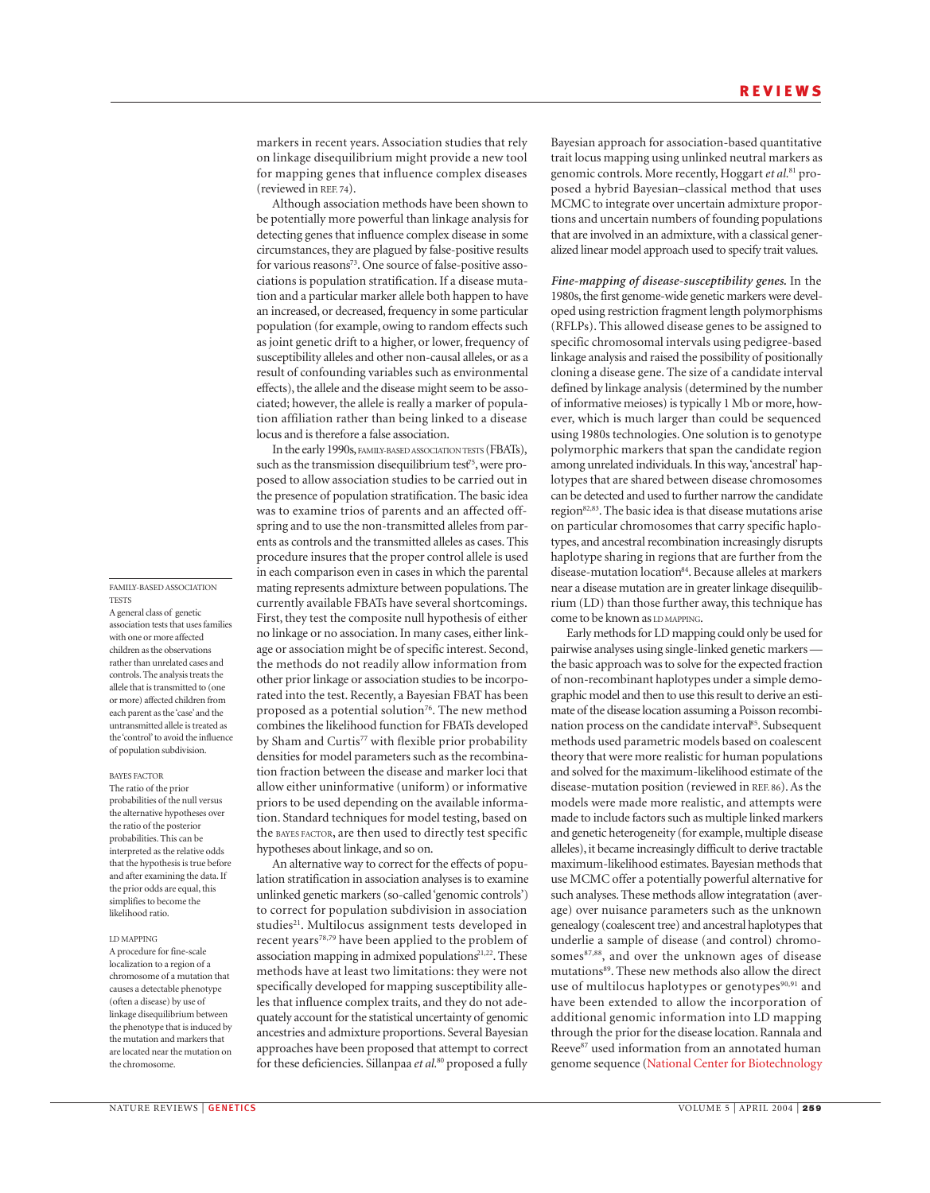markers in recent years. Association studies that rely on linkage disequilibrium might provide a new tool for mapping genes that influence complex diseases (reviewed in REF. 74).

Although association methods have been shown to be potentially more powerful than linkage analysis for detecting genes that influence complex disease in some circumstances, they are plagued by false-positive results for various reasons<sup>73</sup>. One source of false-positive associations is population stratification. If a disease mutation and a particular marker allele both happen to have an increased, or decreased, frequency in some particular population (for example, owing to random effects such as joint genetic drift to a higher, or lower, frequency of susceptibility alleles and other non-causal alleles, or as a result of confounding variables such as environmental effects), the allele and the disease might seem to be associated; however, the allele is really a marker of population affiliation rather than being linked to a disease locus and is therefore a false association.

In the early 1990s, FAMILY-BASED ASSOCIATION TESTS (FBATs), such as the transmission disequilibrium test<sup> $75$ </sup>, were proposed to allow association studies to be carried out in the presence of population stratification. The basic idea was to examine trios of parents and an affected offspring and to use the non-transmitted alleles from parents as controls and the transmitted alleles as cases. This procedure insures that the proper control allele is used in each comparison even in cases in which the parental mating represents admixture between populations. The currently available FBATs have several shortcomings. First, they test the composite null hypothesis of either no linkage or no association. In many cases, either linkage or association might be of specific interest. Second, the methods do not readily allow information from other prior linkage or association studies to be incorporated into the test. Recently, a Bayesian FBAT has been proposed as a potential solution<sup>76</sup>. The new method combines the likelihood function for FBATs developed by Sham and Curtis<sup>77</sup> with flexible prior probability densities for model parameters such as the recombination fraction between the disease and marker loci that allow either uninformative (uniform) or informative priors to be used depending on the available information. Standard techniques for model testing, based on the BAYES FACTOR, are then used to directly test specific hypotheses about linkage, and so on.

An alternative way to correct for the effects of population stratification in association analyses is to examine unlinked genetic markers (so-called 'genomic controls') to correct for population subdivision in association studies<sup>21</sup>. Multilocus assignment tests developed in recent years<sup>78,79</sup> have been applied to the problem of association mapping in admixed populations $2^{1,22}$ . These methods have at least two limitations: they were not specifically developed for mapping susceptibility alleles that influence complex traits, and they do not adequately account for the statistical uncertainty of genomic ancestries and admixture proportions. Several Bayesian approaches have been proposed that attempt to correct for these deficiencies. Sillanpaa *et al.*<sup>80</sup> proposed a fully

Bayesian approach for association-based quantitative trait locus mapping using unlinked neutral markers as genomic controls. More recently, Hoggart *et al.*<sup>81</sup> proposed a hybrid Bayesian–classical method that uses MCMC to integrate over uncertain admixture proportions and uncertain numbers of founding populations that are involved in an admixture, with a classical generalized linear model approach used to specify trait values.

*Fine-mapping of disease-susceptibility genes.* In the 1980s, the first genome-wide genetic markers were developed using restriction fragment length polymorphisms (RFLPs). This allowed disease genes to be assigned to specific chromosomal intervals using pedigree-based linkage analysis and raised the possibility of positionally cloning a disease gene. The size of a candidate interval defined by linkage analysis (determined by the number of informative meioses) is typically 1 Mb or more, however, which is much larger than could be sequenced using 1980s technologies. One solution is to genotype polymorphic markers that span the candidate region among unrelated individuals. In this way,'ancestral' haplotypes that are shared between disease chromosomes can be detected and used to further narrow the candidate region<sup>82,83</sup>. The basic idea is that disease mutations arise on particular chromosomes that carry specific haplotypes, and ancestral recombination increasingly disrupts haplotype sharing in regions that are further from the disease-mutation location<sup>84</sup>. Because alleles at markers near a disease mutation are in greater linkage disequilibrium (LD) than those further away, this technique has come to be known as LD MAPPING.

Early methods for LD mapping could only be used for pairwise analyses using single-linked genetic markers the basic approach was to solve for the expected fraction of non-recombinant haplotypes under a simple demographic model and then to use this result to derive an estimate of the disease location assuming a Poisson recombination process on the candidate interval<sup>85</sup>. Subsequent methods used parametric models based on coalescent theory that were more realistic for human populations and solved for the maximum-likelihood estimate of the disease-mutation position (reviewed in REF. 86). As the models were made more realistic, and attempts were made to include factors such as multiple linked markers and genetic heterogeneity (for example, multiple disease alleles), it became increasingly difficult to derive tractable maximum-likelihood estimates. Bayesian methods that use MCMC offer a potentially powerful alternative for such analyses. These methods allow integratation (average) over nuisance parameters such as the unknown genealogy (coalescent tree) and ancestral haplotypes that underlie a sample of disease (and control) chromosomes<sup>87,88</sup>, and over the unknown ages of disease mutations<sup>89</sup>. These new methods also allow the direct use of multilocus haplotypes or genotypes $90,91$  and have been extended to allow the incorporation of additional genomic information into LD mapping through the prior for the disease location. Rannala and Reeve<sup>87</sup> used information from an annotated human genome sequence (National Center for Biotechnology

#### FAMILY-BASED ASSOCIATION **TESTS**

A general class of genetic association tests that uses families with one or more affected children as the observations rather than unrelated cases and controls. The analysis treats the allele that is transmitted to (one or more) affected children from each parent as the 'case'and the untransmitted allele is treated as the 'control'to avoid the influence of population subdivision.

#### BAYES FACTOR

The ratio of the prior probabilities of the null versus the alternative hypotheses over the ratio of the posterior probabilities. This can be interpreted as the relative odds that the hypothesis is true before and after examining the data. If the prior odds are equal, this simplifies to become the likelihood ratio.

#### LD MAPPING

A procedure for fine-scale localization to a region of a chromosome of a mutation that causes a detectable phenotype (often a disease) by use of linkage disequilibrium between the phenotype that is induced by the mutation and markers that are located near the mutation on the chromosome.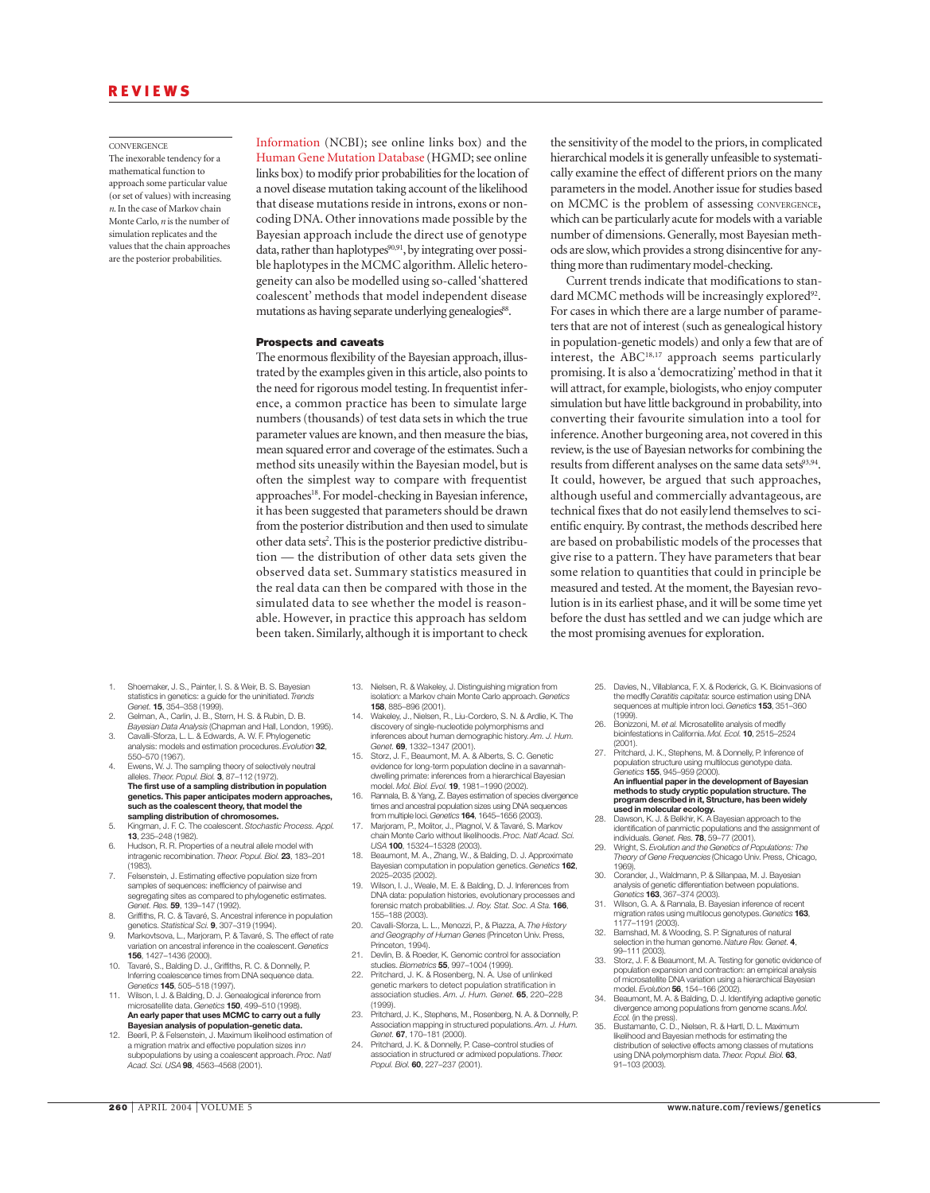**CONVERGENCE** The inexorable tendency for a mathematical function to approach some particular value (or set of values) with increasing *n*. In the case of Markov chain Monte Carlo,*n* is the number of simulation replicates and the values that the chain approaches are the posterior probabilities.

Information (NCBI); see online links box) and the Human Gene Mutation Database (HGMD; see online links box) to modify prior probabilities for the location of a novel disease mutation taking account of the likelihood that disease mutations reside in introns, exons or noncoding DNA. Other innovations made possible by the Bayesian approach include the direct use of genotype data, rather than haplotypes<sup>90,91</sup>, by integrating over possible haplotypes in the MCMC algorithm. Allelic heterogeneity can also be modelled using so-called 'shattered coalescent' methods that model independent disease mutations as having separate underlying genealogies88.

#### Prospects and caveats

The enormous flexibility of the Bayesian approach, illustrated by the examples given in this article, also points to the need for rigorous model testing. In frequentist inference, a common practice has been to simulate large numbers (thousands) of test data sets in which the true parameter values are known, and then measure the bias, mean squared error and coverage of the estimates. Such a method sits uneasily within the Bayesian model, but is often the simplest way to compare with frequentist approaches<sup>18</sup>. For model-checking in Bayesian inference, it has been suggested that parameters should be drawn from the posterior distribution and then used to simulate other data sets<sup>2</sup>. This is the posterior predictive distribution — the distribution of other data sets given the observed data set. Summary statistics measured in the real data can then be compared with those in the simulated data to see whether the model is reasonable. However, in practice this approach has seldom been taken. Similarly, although it is important to check

the sensitivity of the model to the priors, in complicated hierarchical models it is generally unfeasible to systematically examine the effect of different priors on the many parameters in the model.Another issue for studies based on MCMC is the problem of assessing CONVERGENCE, which can be particularly acute for models with a variable number of dimensions. Generally, most Bayesian methods are slow, which provides a strong disincentive for anything more than rudimentary model-checking.

Current trends indicate that modifications to standard MCMC methods will be increasingly explored<sup>92</sup>. For cases in which there are a large number of parameters that are not of interest (such as genealogical history in population-genetic models) and only a few that are of interest, the ABC18,17 approach seems particularly promising. It is also a 'democratizing' method in that it will attract, for example, biologists, who enjoy computer simulation but have little background in probability, into converting their favourite simulation into a tool for inference. Another burgeoning area, not covered in this review, is the use of Bayesian networks for combining the results from different analyses on the same data sets<sup>93,94</sup>. It could, however, be argued that such approaches, although useful and commercially advantageous, are technical fixes that do not easily lend themselves to scientific enquiry. By contrast, the methods described here are based on probabilistic models of the processes that give rise to a pattern. They have parameters that bear some relation to quantities that could in principle be measured and tested. At the moment, the Bayesian revolution is in its earliest phase, and it will be some time yet before the dust has settled and we can judge which are the most promising avenues for exploration.

- 1. Shoemaker, J. S., Painter, I. S. & Weir, B. S. Bayesian statistics in genetics: a guide for the uninitiated. *Trends Genet.* **15**, 354–358 (1999).
- 2. Gelman, A., Carlin, J. B., Stern, H. S. & Rubin, D. B. *Bayesian Data Analysis* (Chapman and Hall, London, 1995). 3. Cavalli-Sforza, L. L. & Edwards, A. W. F. Phylogenetic
- analysis: models and estimation procedures. *Evolution* **32**, 550–570 (1967).
- 4. Ewens, W. J. The sampling theory of selectively neutral alleles. *Theor. Popul. Biol.* **3**, 87–112 (1972). **The first use of a sampling distribution in population genetics. This paper anticipates modern approaches, such as the coalescent theory, that model the** sampling distribution of chromosomes.<br>Kingman, J. F. C. The coalescent. Stochasti
- 5. Kingman, J. F. C. The coalescent. *Stochastic Process. Appl.* **13**, 235–248 (1982).
- 6. Hudson, R. R. Properties of a neutral allele model with intragenic recombination. *Theor. Popul. Biol.* **23**, 183–201 (1983).
- 7. Felsenstein, J. Estimating effective population size from samples of sequences: inefficiency of pairwise and segregating sites as compared to phylogenetic estimates. *Genet. Res.* **59**, 139–147 (1992).
- 8. Griffiths, R. C. & Tavaré, S. Ancestral inference in population genetics. *Statistical Sci.* **9**, 307–319 (1994). 9. Markovtsova, L., Marjoram, P. & Tavaré, S. The effect of rate
- variation on ancestral inference in the coalescent. *Genetics* **156**, 1427–1436 (2000).
- 10. Tavaré, S., Balding D. J., Griffiths, R. C. & Donnelly, P. Inferring coalescence times from DNA sequence data. *Genetics* **145**, 505–518 (1997).
- 11. Wilson, I. J. & Balding, D. J. Genealogical inference from microsatellite data. *Genetics* **150**, 499–510 (1998). **An early paper that uses MCMC to carry out a fully Bayesian analysis of population-genetic data.**
- 12. Beerli, P. & Felsenstein, J. Maximum likelihood estimation of a migration matrix and effective population sizes in *n* subpopulations by using a coalescent approach. *Proc. Natl Acad. Sci. USA* **98**, 4563–4568 (2001).
- 13. Nielsen, R. & Wakeley, J. Distinguishing migration from isolation: a Markov chain Monte Carlo approach. *Genetics* **158**, 885–896 (2001).
- 14. Wakeley, J., Nielsen, R., Liu-Cordero, S. N. & Ardlie, K. The discovery of single-nucleotide polymorphisms and inferences about human demographic history. *Am. J. Hum. Genet.* **69**, 1332–1347 (2001).
- 15. Storz, J. F., Beaumont, M. A. & Alberts, S. C. Genetic evidence for long-term population decline in a savannahdwelling primate: inferences from a hierarchical Bayesian model. *Mol. Biol. Evol.* **19**, 1981–1990 (2002).
- 16. Rannala, B. & Yang, Z. Bayes estimation of species divergence times and ancestral population sizes using DNA sequences from multiple loci. *Genetics* **164**, 1645–1656 (2003).
- 17. Marjoram, P., Molitor, J., Plagnol, V. & Tavaré, S. Markov chain Monte Carlo without likelihoods. *Proc. Natl Acad. Sci. USA* **100**, 15324–15328 (2003).
- 18. Beaumont, M. A., Zhang, W., & Balding, D. J. Approximate Bayesian computation in population genetics. *Genetics* **162**, 2025–2035 (2002).
- 19. Wilson, I. J., Weale, M. E. & Balding, D. J. Inferences from DNA data: population histories, evolutionary processes and forensic match probabilities. *J. Roy. Stat. Soc. A Sta.* **166**, 155–188 (2003).
- 20. Cavalli-Sforza, L. L., Menozzi, P., & Piazza, A. *The History and Geography of Human Genes* (Princeton Univ. Press, Princeton, 1994).
- 21. Devlin, B. & Roeder, K. Genomic control for association studies. *Biometrics* **55**, 997–1004 (1999).
- 22. Pritchard, J. K. & Rosenberg, N. A. Use of unlinked genetic markers to detect population stratification in association studies. *Am. J. Hum. Genet.* **65**, 220–228 (1999).
- 23. Pritchard, J. K., Stephens, M., Rosenberg, N. A. & Donnelly, P. Association mapping in structured populations. *Am. J. Hum. Genet.* **67**, 170–181 (2000).
- 24. Pritchard, J. K. & Donnelly, P. Case–control studies of association in structured or admixed populations. *Theor. Popul. Biol.* **60**, 227–237 (2001).
- 25. Davies, N., Villablanca, F. X. & Roderick, G. K. Bioinvasions of the medfly *Ceratitis capitata*: source estimation using DNA sequences at multiple intron loci. *Genetics* **153**, 351–360 (1999).
- 26. Bonizzoni, M. *et al.* Microsatellite analysis of medfly bioinfestations in California. *Mol. Ecol.* **10**, 2515–2524
- (2001). 27. Pritchard, J. K., Stephens, M. & Donnelly, P. Inference of population structure using multilocus genotype data. *Genetics* **155**, 945–959 (2000). **An influential paper in the development of Bayesian methods to study cryptic population structure. The program described in it, Structure, has been widely**
- **used in molecular ecology.** 28. Dawson, K. J. & Belkhir, K. A Bayesian approach to the
- identification of panmictic populations and the assignment of individuals. *Genet. Res.* **78**, 59–77 (2001). 29. Wright, S. *Evolution and the Genetics of Populations: The*
- *Theory of Gene Frequencies* (Chicago Univ. Press, Chicago, 1969).
- 30. Corander, J., Waldmann, P. & Sillanpaa, M. J. Bayesian analysis of genetic differentiation between populations. *Genetics* **163**, 367–374 (2003).
- 31. Wilson, G. A. & Rannala, B. Bayesian inference of recent migration rates using multilocus genotypes. *Genetics* **163**, 1177–1191 (2003).
- 32. Bamshad, M. & Wooding, S. P. Signatures of natural selection in the human genome. *Nature Rev. Genet.* **4**, 99–111 (2003).
- 33. Storz, J. F. & Beaumont, M. A. Testing for genetic evidence of population expansion and contraction: an empirical analysis of microsatellite DNA variation using a hierarchical Bayesian model. *Evolution* **56**, 154–166 (2002). 34. Beaumont, M. A. & Balding, D. J. Identifying adaptive genetic
- divergence among populations from genome scans. *Mol.*
- *Ecol.* (in the press). 35. Bustamante, C. D., Nielsen, R. & Hartl, D. L. Maximum likelihood and Bayesian methods for estimating the distribution of selective effects among classes of mutations using DNA polymorphism data. *Theor. Popul. Biol.* **63**, 91–103 (2003).